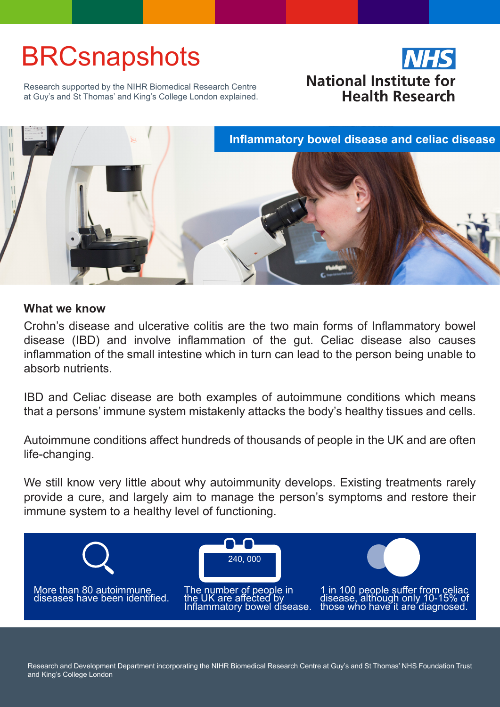# **BRCsnapshots**



Research supported by the NIHR Biomedical Research Centre at Guy's and St Thomas' and King's College London explained.



# **What we know**

Crohn's disease and ulcerative colitis are the two main forms of Inflammatory bowel disease (IBD) and involve inflammation of the gut. Celiac disease also causes inflammation of the small intestine which in turn can lead to the person being unable to absorb nutrients.

IBD and Celiac disease are both examples of autoimmune conditions which means that a persons' immune system mistakenly attacks the body's healthy tissues and cells.

Autoimmune conditions affect hundreds of thousands of people in the UK and are often life-changing.

We still know very little about why autoimmunity develops. Existing treatments rarely provide a cure, and largely aim to manage the person's symptoms and restore their immune system to a healthy level of functioning.